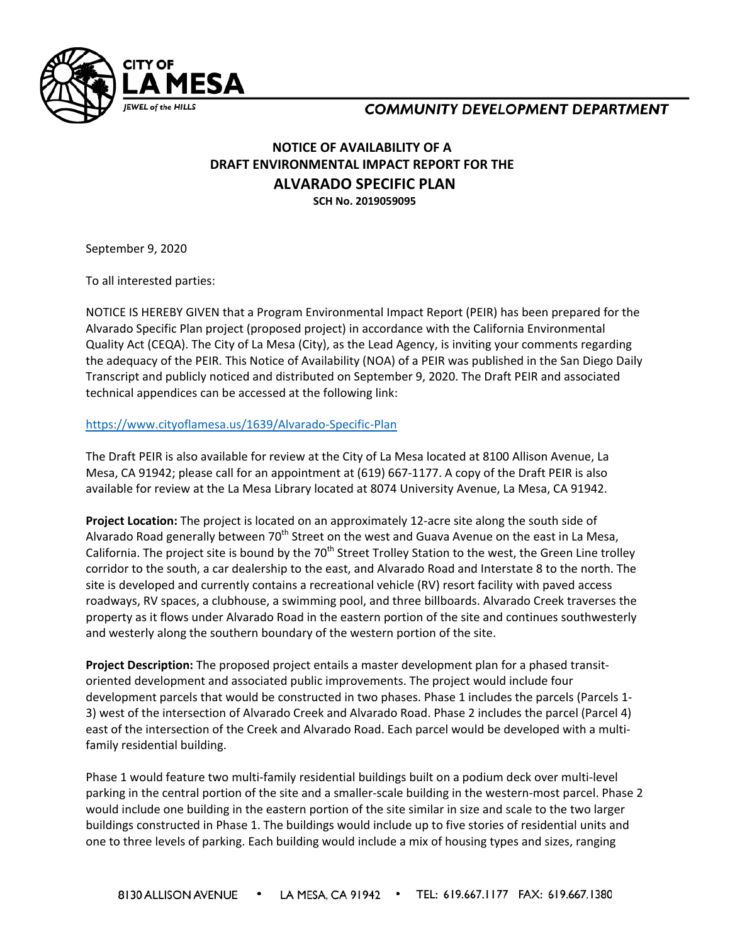

## **COMMUNITY DEVELOPMENT DEPARTMENT**

## **NOTICE OF AVAILABILITY OF A DRAFT ENVIRONMENTAL IMPACT REPORT FOR THE ALVARADO SPECIFIC PLAN SCH No. 2019059095**

September 9, 2020

To all interested parties:

NOTICE IS HEREBY GIVEN that a Program Environmental Impact Report (PEIR) has been prepared for the Alvarado Specific Plan project (proposed project) in accordance with the California Environmental Quality Act (CEQA). The City of La Mesa (City), as the Lead Agency, is inviting your comments regarding the adequacy of the PEIR. This Notice of Availability (NOA) of a PEIR was published in the San Diego Daily Transcript and publicly noticed and distributed on September 9, 2020. The Draft PEIR and associated technical appendices can be accessed at the following link:

## <https://www.cityoflamesa.us/1639/Alvarado-Specific-Plan>

The Draft PEIR is also available for review at the City of La Mesa located at 8100 Allison Avenue, La Mesa, CA 91942; please call for an appointment at (619) 667-1177. A copy of the Draft PEIR is also available for review at the La Mesa Library located at 8074 University Avenue, La Mesa, CA 91942.

**Project Location:** The project is located on an approximately 12-acre site along the south side of Alvarado Road generally between 70<sup>th</sup> Street on the west and Guava Avenue on the east in La Mesa, California. The project site is bound by the  $70<sup>th</sup>$  Street Trolley Station to the west, the Green Line trolley corridor to the south, a car dealership to the east, and Alvarado Road and Interstate 8 to the north. The site is developed and currently contains a recreational vehicle (RV) resort facility with paved access roadways, RV spaces, a clubhouse, a swimming pool, and three billboards. Alvarado Creek traverses the property as it flows under Alvarado Road in the eastern portion of the site and continues southwesterly and westerly along the southern boundary of the western portion of the site.

**Project Description:** The proposed project entails a master development plan for a phased transitoriented development and associated public improvements. The project would include four development parcels that would be constructed in two phases. Phase 1 includes the parcels (Parcels 1- 3) west of the intersection of Alvarado Creek and Alvarado Road. Phase 2 includes the parcel (Parcel 4) east of the intersection of the Creek and Alvarado Road. Each parcel would be developed with a multifamily residential building.

Phase 1 would feature two multi-family residential buildings built on a podium deck over multi-level parking in the central portion of the site and a smaller-scale building in the western-most parcel. Phase 2 would include one building in the eastern portion of the site similar in size and scale to the two larger buildings constructed in Phase 1. The buildings would include up to five stories of residential units and one to three levels of parking. Each building would include a mix of housing types and sizes, ranging